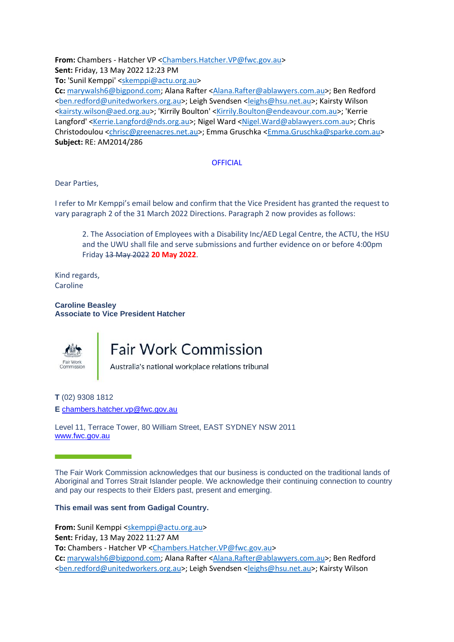**From:** Chambers - Hatcher VP [<Chambers.Hatcher.VP@fwc.gov.au>](mailto:Chambers.Hatcher.VP@fwc.gov.au) **Sent:** Friday, 13 May 2022 12:23 PM

**To:** 'Sunil Kemppi' [<skemppi@actu.org.au>](mailto:skemppi@actu.org.au)

**Cc:** [marywalsh6@bigpond.com;](mailto:marywalsh6@bigpond.com) Alana Rafter [<Alana.Rafter@ablawyers.com.au>](mailto:Alana.Rafter@ablawyers.com.au); Ben Redford [<ben.redford@unitedworkers.org.au>](mailto:ben.redford@unitedworkers.org.au); Leigh Svendsen [<leighs@hsu.net.au>](mailto:leighs@hsu.net.au); Kairsty Wilson [<kairsty.wilson@aed.org.au>](mailto:kairsty.wilson@aed.org.au); 'Kirrily Boulton' [<Kirrily.Boulton@endeavour.com.au>](mailto:Kirrily.Boulton@endeavour.com.au); 'Kerrie Langford' [<Kerrie.Langford@nds.org.au>](mailto:Kerrie.Langford@nds.org.au); Nigel Ward [<Nigel.Ward@ablawyers.com.au>](mailto:Nigel.Ward@ablawyers.com.au); Chris Christodoulou [<chrisc@greenacres.net.au>](mailto:chrisc@greenacres.net.au); Emma Gruschka [<Emma.Gruschka@sparke.com.au>](mailto:Emma.Gruschka@sparke.com.au) **Subject:** RE: AM2014/286

## **OFFICIAL**

Dear Parties,

I refer to Mr Kemppi's email below and confirm that the Vice President has granted the request to vary paragraph 2 of the 31 March 2022 Directions. Paragraph 2 now provides as follows:

2. The Association of Employees with a Disability Inc/AED Legal Centre, the ACTU, the HSU and the UWU shall file and serve submissions and further evidence on or before 4:00pm Friday 13 May 2022 **20 May 2022**.

Kind regards, Caroline

**Caroline Beasley Associate to Vice President Hatcher**



## **Fair Work Commission**

Australia's national workplace relations tribunal

**T** (02) 9308 1812 **E** [chambers.hatcher.vp@fwc.gov.au](mailto:chambers.hatcher.vp@fwc.gov.au)

Level 11, Terrace Tower, 80 William Street, EAST SYDNEY NSW 2011 [www.fwc.gov.au](http://www.fwc.gov.au/)

The Fair Work Commission acknowledges that our business is conducted on the traditional lands of Aboriginal and Torres Strait Islander people. We acknowledge their continuing connection to country and pay our respects to their Elders past, present and emerging.

## **This email was sent from Gadigal Country.**

**From:** Sunil Kemppi [<skemppi@actu.org.au>](mailto:skemppi@actu.org.au)

**Sent:** Friday, 13 May 2022 11:27 AM

**To:** Chambers - Hatcher VP [<Chambers.Hatcher.VP@fwc.gov.au>](mailto:Chambers.Hatcher.VP@fwc.gov.au)

**Cc:** [marywalsh6@bigpond.com;](mailto:marywalsh6@bigpond.com) Alana Rafter [<Alana.Rafter@ablawyers.com.au>](mailto:Alana.Rafter@ablawyers.com.au); Ben Redford [<ben.redford@unitedworkers.org.au>](mailto:ben.redford@unitedworkers.org.au); Leigh Svendsen [<leighs@hsu.net.au>](mailto:leighs@hsu.net.au); Kairsty Wilson